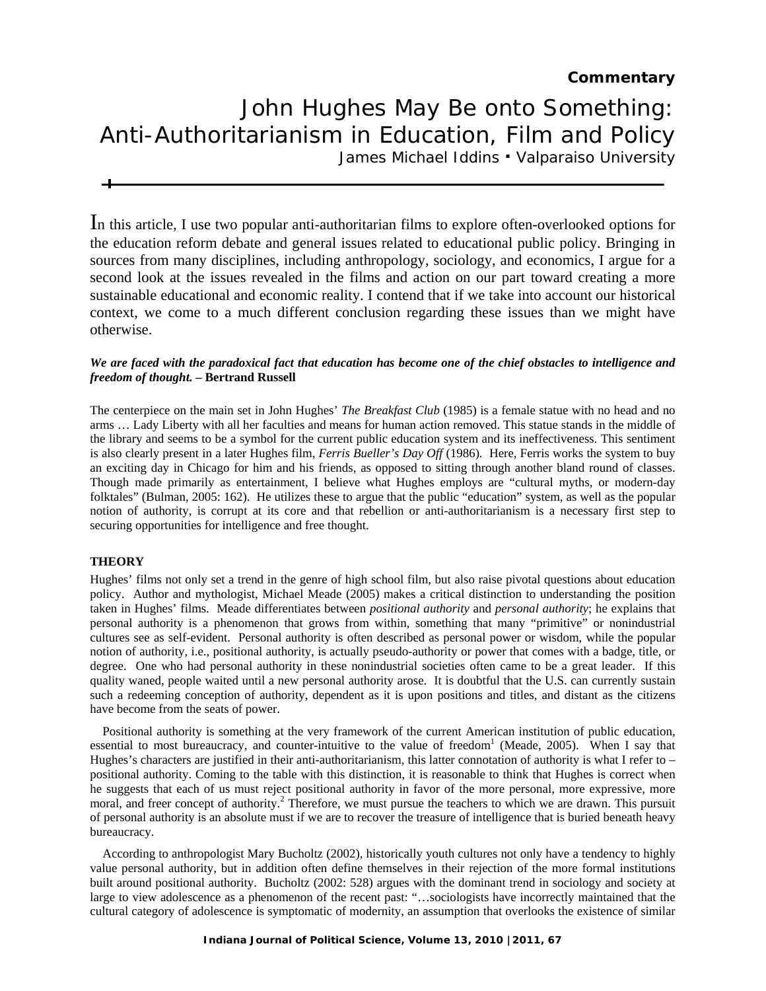### **Commentary**

# John Hughes May Be onto Something: Anti-Authoritarianism in Education, Film and Policy

James Michael Iddins . Valparaiso University

In this article, I use two popular anti-authoritarian films to explore often-overlooked options for the education reform debate and general issues related to educational public policy. Bringing in sources from many disciplines, including anthropology, sociology, and economics, I argue for a second look at the issues revealed in the films and action on our part toward creating a more sustainable educational and economic reality. I contend that if we take into account our historical context, we come to a much different conclusion regarding these issues than we might have otherwise.

#### *We are faced with the paradoxical fact that education has become one of the chief obstacles to intelligence and freedom of thought. –* **Bertrand Russell**

The centerpiece on the main set in John Hughes' *The Breakfast Club* (1985) is a female statue with no head and no arms … Lady Liberty with all her faculties and means for human action removed. This statue stands in the middle of the library and seems to be a symbol for the current public education system and its ineffectiveness. This sentiment is also clearly present in a later Hughes film, *Ferris Bueller's Day Off* (1986)*.* Here, Ferris works the system to buy an exciting day in Chicago for him and his friends, as opposed to sitting through another bland round of classes. Though made primarily as entertainment, I believe what Hughes employs are "cultural myths, or modern-day folktales" (Bulman, 2005: 162). He utilizes these to argue that the public "education" system, as well as the popular notion of authority, is corrupt at its core and that rebellion or anti-authoritarianism is a necessary first step to securing opportunities for intelligence and free thought.

#### **THEORY**

Hughes' films not only set a trend in the genre of high school film, but also raise pivotal questions about education policy. Author and mythologist, Michael Meade (2005) makes a critical distinction to understanding the position taken in Hughes' films. Meade differentiates between *positional authority* and *personal authority*; he explains that personal authority is a phenomenon that grows from within, something that many "primitive" or nonindustrial cultures see as self-evident. Personal authority is often described as personal power or wisdom, while the popular notion of authority, i.e., positional authority, is actually pseudo-authority or power that comes with a badge, title, or degree. One who had personal authority in these nonindustrial societies often came to be a great leader. If this quality waned, people waited until a new personal authority arose. It is doubtful that the U.S. can currently sustain such a redeeming conception of authority, dependent as it is upon positions and titles, and distant as the citizens have become from the seats of power.

 Positional authority is something at the very framework of the current American institution of public education, essential to most bureaucracy, and counter-intuitive to the value of freedom<sup>1</sup> (Meade, 2005). When I say that Hughes's characters are justified in their anti-authoritarianism, this latter connotation of authority is what I refer to – positional authority. Coming to the table with this distinction, it is reasonable to think that Hughes is correct when he suggests that each of us must reject positional authority in favor of the more personal, more expressive, more moral, and freer concept of authority.<sup>2</sup> Therefore, we must pursue the teachers to which we are drawn. This pursuit of personal authority is an absolute must if we are to recover the treasure of intelligence that is buried beneath heavy bureaucracy.

 According to anthropologist Mary Bucholtz (2002), historically youth cultures not only have a tendency to highly value personal authority, but in addition often define themselves in their rejection of the more formal institutions built around positional authority. Bucholtz (2002: 528) argues with the dominant trend in sociology and society at large to view adolescence as a phenomenon of the recent past: "…sociologists have incorrectly maintained that the cultural category of adolescence is symptomatic of modernity, an assumption that overlooks the existence of similar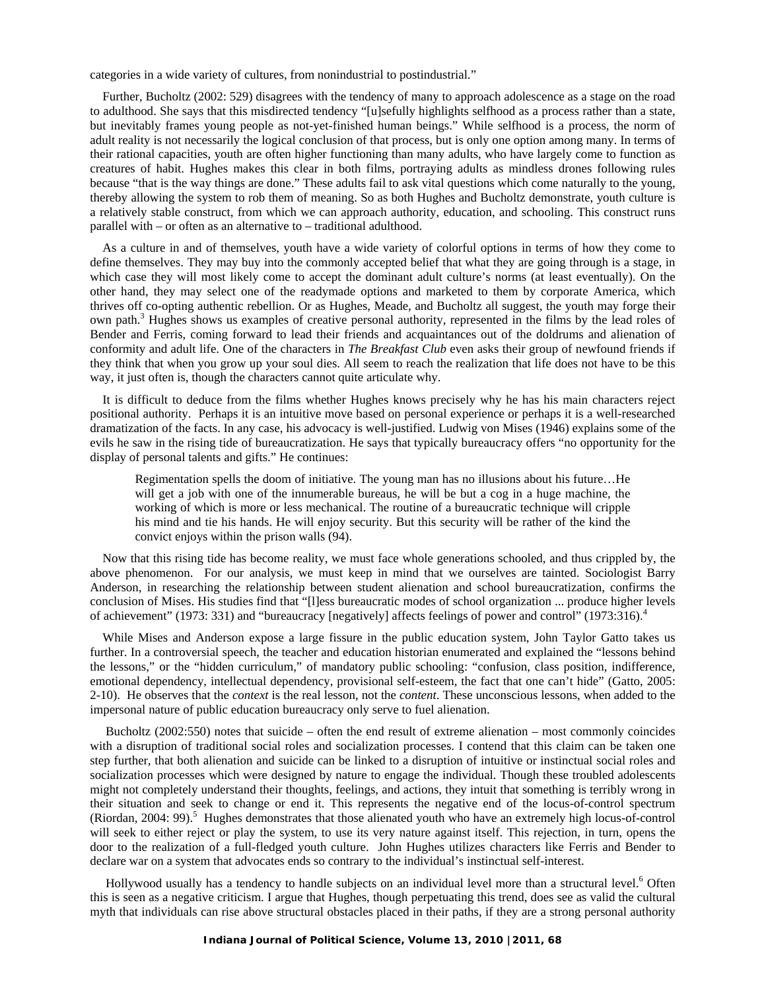categories in a wide variety of cultures, from nonindustrial to postindustrial."

 Further, Bucholtz (2002: 529) disagrees with the tendency of many to approach adolescence as a stage on the road to adulthood. She says that this misdirected tendency "[u]sefully highlights selfhood as a process rather than a state, but inevitably frames young people as not-yet-finished human beings." While selfhood is a process, the norm of adult reality is not necessarily the logical conclusion of that process, but is only one option among many. In terms of their rational capacities, youth are often higher functioning than many adults, who have largely come to function as creatures of habit. Hughes makes this clear in both films, portraying adults as mindless drones following rules because "that is the way things are done." These adults fail to ask vital questions which come naturally to the young, thereby allowing the system to rob them of meaning. So as both Hughes and Bucholtz demonstrate, youth culture is a relatively stable construct, from which we can approach authority, education, and schooling. This construct runs parallel with – or often as an alternative to – traditional adulthood.

 As a culture in and of themselves, youth have a wide variety of colorful options in terms of how they come to define themselves. They may buy into the commonly accepted belief that what they are going through is a stage, in which case they will most likely come to accept the dominant adult culture's norms (at least eventually). On the other hand, they may select one of the readymade options and marketed to them by corporate America, which thrives off co-opting authentic rebellion. Or as Hughes, Meade, and Bucholtz all suggest, the youth may forge their own path.<sup>3</sup> Hughes shows us examples of creative personal authority, represented in the films by the lead roles of Bender and Ferris, coming forward to lead their friends and acquaintances out of the doldrums and alienation of conformity and adult life. One of the characters in *The Breakfast Club* even asks their group of newfound friends if they think that when you grow up your soul dies. All seem to reach the realization that life does not have to be this way, it just often is, though the characters cannot quite articulate why.

 It is difficult to deduce from the films whether Hughes knows precisely why he has his main characters reject positional authority. Perhaps it is an intuitive move based on personal experience or perhaps it is a well-researched dramatization of the facts. In any case, his advocacy is well-justified. Ludwig von Mises (1946) explains some of the evils he saw in the rising tide of bureaucratization. He says that typically bureaucracy offers "no opportunity for the display of personal talents and gifts." He continues:

Regimentation spells the doom of initiative. The young man has no illusions about his future…He will get a job with one of the innumerable bureaus, he will be but a cog in a huge machine, the working of which is more or less mechanical. The routine of a bureaucratic technique will cripple his mind and tie his hands. He will enjoy security. But this security will be rather of the kind the convict enjoys within the prison walls (94).

 Now that this rising tide has become reality, we must face whole generations schooled, and thus crippled by, the above phenomenon. For our analysis, we must keep in mind that we ourselves are tainted. Sociologist Barry Anderson, in researching the relationship between student alienation and school bureaucratization, confirms the conclusion of Mises. His studies find that "[l]ess bureaucratic modes of school organization ... produce higher levels of achievement" (1973: 331) and "bureaucracy [negatively] affects feelings of power and control" (1973:316).<sup>4</sup>

 While Mises and Anderson expose a large fissure in the public education system, John Taylor Gatto takes us further. In a controversial speech, the teacher and education historian enumerated and explained the "lessons behind the lessons," or the "hidden curriculum," of mandatory public schooling: "confusion, class position, indifference, emotional dependency, intellectual dependency, provisional self-esteem, the fact that one can't hide" (Gatto, 2005: 2-10). He observes that the *context* is the real lesson, not the *content*. These unconscious lessons, when added to the impersonal nature of public education bureaucracy only serve to fuel alienation.

 Bucholtz (2002:550) notes that suicide – often the end result of extreme alienation – most commonly coincides with a disruption of traditional social roles and socialization processes. I contend that this claim can be taken one step further, that both alienation and suicide can be linked to a disruption of intuitive or instinctual social roles and socialization processes which were designed by nature to engage the individual. Though these troubled adolescents might not completely understand their thoughts, feelings, and actions, they intuit that something is terribly wrong in their situation and seek to change or end it. This represents the negative end of the locus-of-control spectrum (Riordan, 2004: 99).<sup>5</sup> Hughes demonstrates that those alienated youth who have an extremely high locus-of-control will seek to either reject or play the system, to use its very nature against itself. This rejection, in turn, opens the door to the realization of a full-fledged youth culture. John Hughes utilizes characters like Ferris and Bender to declare war on a system that advocates ends so contrary to the individual's instinctual self-interest.

Hollywood usually has a tendency to handle subjects on an individual level more than a structural level.<sup>6</sup> Often this is seen as a negative criticism. I argue that Hughes, though perpetuating this trend, does see as valid the cultural myth that individuals can rise above structural obstacles placed in their paths, if they are a strong personal authority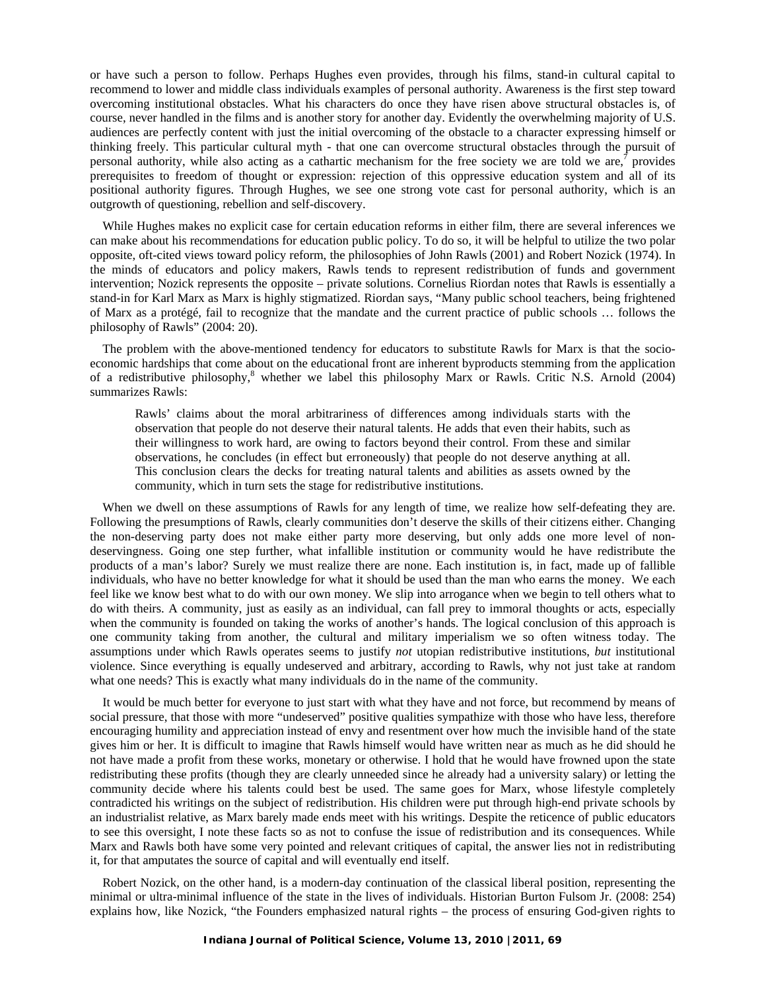or have such a person to follow. Perhaps Hughes even provides, through his films, stand-in cultural capital to recommend to lower and middle class individuals examples of personal authority. Awareness is the first step toward overcoming institutional obstacles. What his characters do once they have risen above structural obstacles is, of course, never handled in the films and is another story for another day. Evidently the overwhelming majority of U.S. audiences are perfectly content with just the initial overcoming of the obstacle to a character expressing himself or thinking freely. This particular cultural myth - that one can overcome structural obstacles through the pursuit of personal authority, while also acting as a cathartic mechanism for the free society we are told we are, $\tau$  provides prerequisites to freedom of thought or expression: rejection of this oppressive education system and all of its positional authority figures. Through Hughes, we see one strong vote cast for personal authority, which is an outgrowth of questioning, rebellion and self-discovery.

 While Hughes makes no explicit case for certain education reforms in either film, there are several inferences we can make about his recommendations for education public policy. To do so, it will be helpful to utilize the two polar opposite, oft-cited views toward policy reform, the philosophies of John Rawls (2001) and Robert Nozick (1974). In the minds of educators and policy makers, Rawls tends to represent redistribution of funds and government intervention; Nozick represents the opposite – private solutions. Cornelius Riordan notes that Rawls is essentially a stand-in for Karl Marx as Marx is highly stigmatized. Riordan says, "Many public school teachers, being frightened of Marx as a protégé, fail to recognize that the mandate and the current practice of public schools … follows the philosophy of Rawls" (2004: 20).

 The problem with the above-mentioned tendency for educators to substitute Rawls for Marx is that the socioeconomic hardships that come about on the educational front are inherent byproducts stemming from the application of a redistributive philosophy,<sup>8</sup> whether we label this philosophy Marx or Rawls. Critic N.S. Arnold (2004) summarizes Rawls:

Rawls' claims about the moral arbitrariness of differences among individuals starts with the observation that people do not deserve their natural talents. He adds that even their habits, such as their willingness to work hard, are owing to factors beyond their control. From these and similar observations, he concludes (in effect but erroneously) that people do not deserve anything at all. This conclusion clears the decks for treating natural talents and abilities as assets owned by the community, which in turn sets the stage for redistributive institutions.

 When we dwell on these assumptions of Rawls for any length of time, we realize how self-defeating they are. Following the presumptions of Rawls, clearly communities don't deserve the skills of their citizens either. Changing the non-deserving party does not make either party more deserving, but only adds one more level of nondeservingness. Going one step further, what infallible institution or community would he have redistribute the products of a man's labor? Surely we must realize there are none. Each institution is, in fact, made up of fallible individuals, who have no better knowledge for what it should be used than the man who earns the money. We each feel like we know best what to do with our own money. We slip into arrogance when we begin to tell others what to do with theirs. A community, just as easily as an individual, can fall prey to immoral thoughts or acts, especially when the community is founded on taking the works of another's hands. The logical conclusion of this approach is one community taking from another, the cultural and military imperialism we so often witness today. The assumptions under which Rawls operates seems to justify *not* utopian redistributive institutions, *but* institutional violence. Since everything is equally undeserved and arbitrary, according to Rawls, why not just take at random what one needs? This is exactly what many individuals do in the name of the community.

 It would be much better for everyone to just start with what they have and not force, but recommend by means of social pressure, that those with more "undeserved" positive qualities sympathize with those who have less, therefore encouraging humility and appreciation instead of envy and resentment over how much the invisible hand of the state gives him or her. It is difficult to imagine that Rawls himself would have written near as much as he did should he not have made a profit from these works, monetary or otherwise. I hold that he would have frowned upon the state redistributing these profits (though they are clearly unneeded since he already had a university salary) or letting the community decide where his talents could best be used. The same goes for Marx, whose lifestyle completely contradicted his writings on the subject of redistribution. His children were put through high-end private schools by an industrialist relative, as Marx barely made ends meet with his writings. Despite the reticence of public educators to see this oversight, I note these facts so as not to confuse the issue of redistribution and its consequences. While Marx and Rawls both have some very pointed and relevant critiques of capital, the answer lies not in redistributing it, for that amputates the source of capital and will eventually end itself.

 Robert Nozick, on the other hand, is a modern-day continuation of the classical liberal position, representing the minimal or ultra-minimal influence of the state in the lives of individuals. Historian Burton Fulsom Jr. (2008: 254) explains how, like Nozick, "the Founders emphasized natural rights – the process of ensuring God-given rights to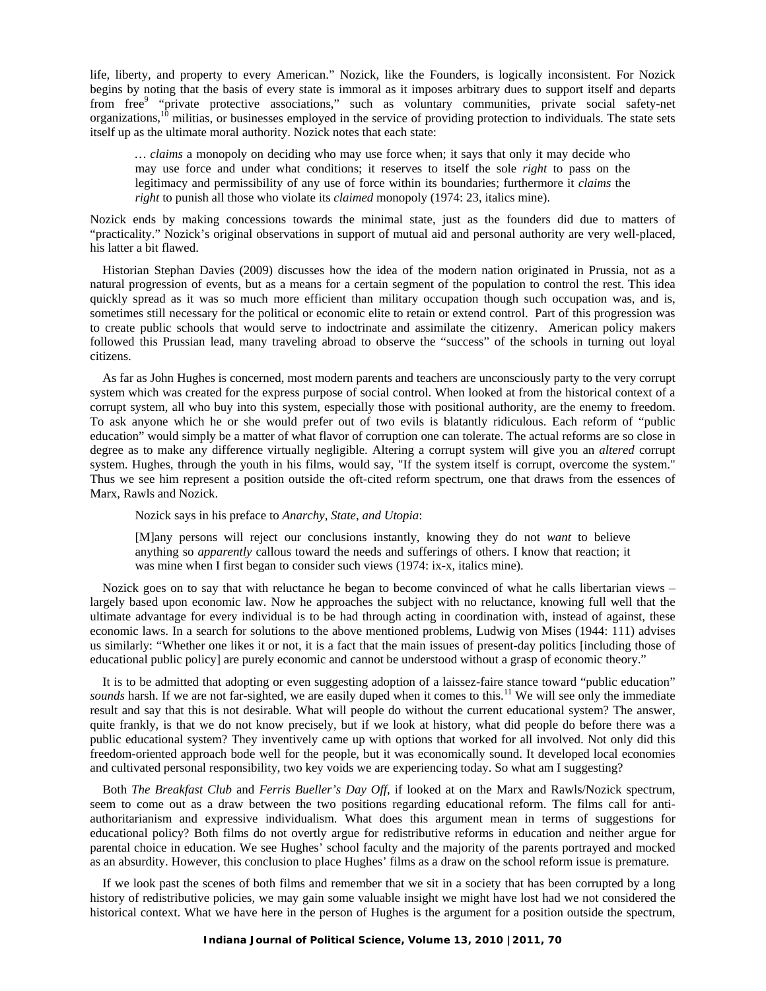life, liberty, and property to every American." Nozick, like the Founders, is logically inconsistent. For Nozick begins by noting that the basis of every state is immoral as it imposes arbitrary dues to support itself and departs from free<sup>9</sup> "private protective associations," such as voluntary communities, private social safety-net organizations,10 militias, or businesses employed in the service of providing protection to individuals. The state sets itself up as the ultimate moral authority. Nozick notes that each state:

*… claims* a monopoly on deciding who may use force when; it says that only it may decide who may use force and under what conditions; it reserves to itself the sole *right* to pass on the legitimacy and permissibility of any use of force within its boundaries; furthermore it *claims* the *right* to punish all those who violate its *claimed* monopoly (1974: 23, italics mine).

Nozick ends by making concessions towards the minimal state, just as the founders did due to matters of "practicality." Nozick's original observations in support of mutual aid and personal authority are very well-placed, his latter a bit flawed.

 Historian Stephan Davies (2009) discusses how the idea of the modern nation originated in Prussia, not as a natural progression of events, but as a means for a certain segment of the population to control the rest. This idea quickly spread as it was so much more efficient than military occupation though such occupation was, and is, sometimes still necessary for the political or economic elite to retain or extend control. Part of this progression was to create public schools that would serve to indoctrinate and assimilate the citizenry. American policy makers followed this Prussian lead, many traveling abroad to observe the "success" of the schools in turning out loyal citizens.

 As far as John Hughes is concerned, most modern parents and teachers are unconsciously party to the very corrupt system which was created for the express purpose of social control. When looked at from the historical context of a corrupt system, all who buy into this system, especially those with positional authority, are the enemy to freedom. To ask anyone which he or she would prefer out of two evils is blatantly ridiculous. Each reform of "public education" would simply be a matter of what flavor of corruption one can tolerate. The actual reforms are so close in degree as to make any difference virtually negligible. Altering a corrupt system will give you an *altered* corrupt system. Hughes, through the youth in his films, would say, "If the system itself is corrupt, overcome the system." Thus we see him represent a position outside the oft-cited reform spectrum, one that draws from the essences of Marx, Rawls and Nozick.

Nozick says in his preface to *Anarchy, State, and Utopia*:

[M]any persons will reject our conclusions instantly, knowing they do not *want* to believe anything so *apparently* callous toward the needs and sufferings of others. I know that reaction; it was mine when I first began to consider such views (1974: ix-x, italics mine).

 Nozick goes on to say that with reluctance he began to become convinced of what he calls libertarian views – largely based upon economic law. Now he approaches the subject with no reluctance, knowing full well that the ultimate advantage for every individual is to be had through acting in coordination with, instead of against, these economic laws. In a search for solutions to the above mentioned problems, Ludwig von Mises (1944: 111) advises us similarly: "Whether one likes it or not, it is a fact that the main issues of present-day politics [including those of educational public policy] are purely economic and cannot be understood without a grasp of economic theory."

 It is to be admitted that adopting or even suggesting adoption of a laissez-faire stance toward "public education" *sounds* harsh. If we are not far-sighted, we are easily duped when it comes to this.<sup>11</sup> We will see only the immediate result and say that this is not desirable. What will people do without the current educational system? The answer, quite frankly, is that we do not know precisely, but if we look at history, what did people do before there was a public educational system? They inventively came up with options that worked for all involved. Not only did this freedom-oriented approach bode well for the people, but it was economically sound. It developed local economies and cultivated personal responsibility, two key voids we are experiencing today. So what am I suggesting?

 Both *The Breakfast Club* and *Ferris Bueller's Day Off*, if looked at on the Marx and Rawls/Nozick spectrum, seem to come out as a draw between the two positions regarding educational reform. The films call for antiauthoritarianism and expressive individualism. What does this argument mean in terms of suggestions for educational policy? Both films do not overtly argue for redistributive reforms in education and neither argue for parental choice in education. We see Hughes' school faculty and the majority of the parents portrayed and mocked as an absurdity. However, this conclusion to place Hughes' films as a draw on the school reform issue is premature.

 If we look past the scenes of both films and remember that we sit in a society that has been corrupted by a long history of redistributive policies, we may gain some valuable insight we might have lost had we not considered the historical context. What we have here in the person of Hughes is the argument for a position outside the spectrum,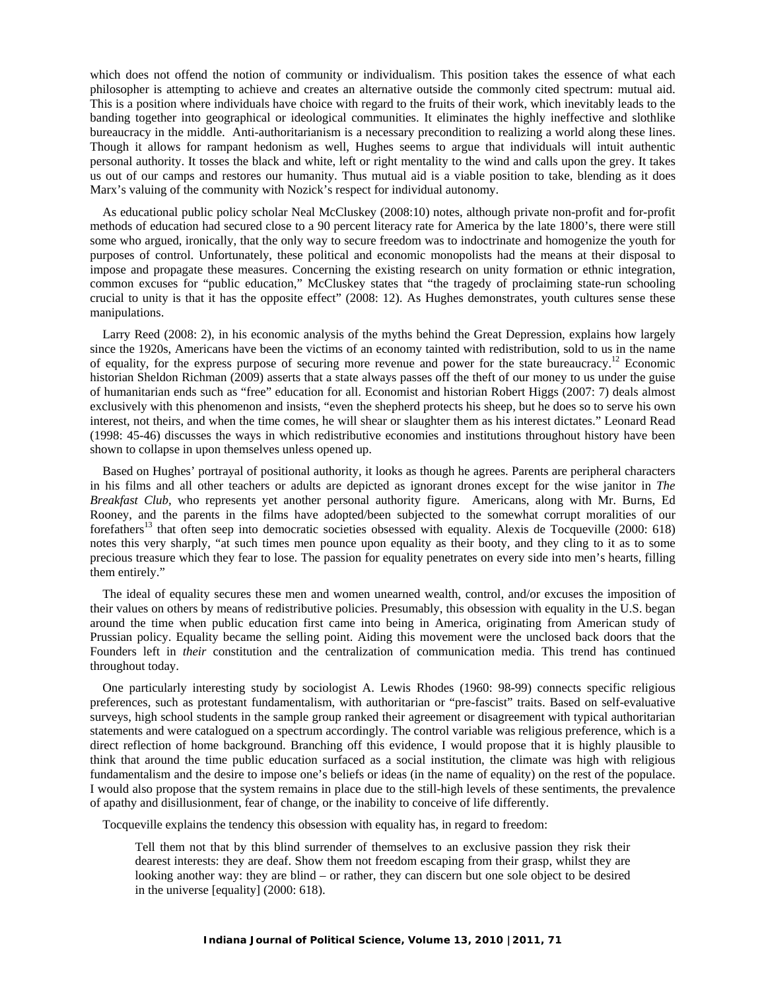which does not offend the notion of community or individualism. This position takes the essence of what each philosopher is attempting to achieve and creates an alternative outside the commonly cited spectrum: mutual aid. This is a position where individuals have choice with regard to the fruits of their work, which inevitably leads to the banding together into geographical or ideological communities. It eliminates the highly ineffective and slothlike bureaucracy in the middle. Anti-authoritarianism is a necessary precondition to realizing a world along these lines. Though it allows for rampant hedonism as well, Hughes seems to argue that individuals will intuit authentic personal authority. It tosses the black and white, left or right mentality to the wind and calls upon the grey. It takes us out of our camps and restores our humanity. Thus mutual aid is a viable position to take, blending as it does Marx's valuing of the community with Nozick's respect for individual autonomy.

 As educational public policy scholar Neal McCluskey (2008:10) notes, although private non-profit and for-profit methods of education had secured close to a 90 percent literacy rate for America by the late 1800's, there were still some who argued, ironically, that the only way to secure freedom was to indoctrinate and homogenize the youth for purposes of control. Unfortunately, these political and economic monopolists had the means at their disposal to impose and propagate these measures. Concerning the existing research on unity formation or ethnic integration, common excuses for "public education," McCluskey states that "the tragedy of proclaiming state-run schooling crucial to unity is that it has the opposite effect" (2008: 12). As Hughes demonstrates, youth cultures sense these manipulations.

 Larry Reed (2008: 2), in his economic analysis of the myths behind the Great Depression, explains how largely since the 1920s, Americans have been the victims of an economy tainted with redistribution, sold to us in the name of equality, for the express purpose of securing more revenue and power for the state bureaucracy.12 Economic historian Sheldon Richman (2009) asserts that a state always passes off the theft of our money to us under the guise of humanitarian ends such as "free" education for all. Economist and historian Robert Higgs (2007: 7) deals almost exclusively with this phenomenon and insists, "even the shepherd protects his sheep, but he does so to serve his own interest, not theirs, and when the time comes, he will shear or slaughter them as his interest dictates." Leonard Read (1998: 45-46) discusses the ways in which redistributive economies and institutions throughout history have been shown to collapse in upon themselves unless opened up.

 Based on Hughes' portrayal of positional authority, it looks as though he agrees. Parents are peripheral characters in his films and all other teachers or adults are depicted as ignorant drones except for the wise janitor in *The Breakfast Club,* who represents yet another personal authority figure. Americans, along with Mr. Burns, Ed Rooney, and the parents in the films have adopted/been subjected to the somewhat corrupt moralities of our forefathers<sup>13</sup> that often seep into democratic societies obsessed with equality. Alexis de Tocqueville (2000: 618) notes this very sharply, "at such times men pounce upon equality as their booty, and they cling to it as to some precious treasure which they fear to lose. The passion for equality penetrates on every side into men's hearts, filling them entirely."

 The ideal of equality secures these men and women unearned wealth, control, and/or excuses the imposition of their values on others by means of redistributive policies. Presumably, this obsession with equality in the U.S. began around the time when public education first came into being in America, originating from American study of Prussian policy. Equality became the selling point. Aiding this movement were the unclosed back doors that the Founders left in *their* constitution and the centralization of communication media. This trend has continued throughout today.

 One particularly interesting study by sociologist A. Lewis Rhodes (1960: 98-99) connects specific religious preferences, such as protestant fundamentalism, with authoritarian or "pre-fascist" traits. Based on self-evaluative surveys, high school students in the sample group ranked their agreement or disagreement with typical authoritarian statements and were catalogued on a spectrum accordingly. The control variable was religious preference, which is a direct reflection of home background. Branching off this evidence, I would propose that it is highly plausible to think that around the time public education surfaced as a social institution, the climate was high with religious fundamentalism and the desire to impose one's beliefs or ideas (in the name of equality) on the rest of the populace. I would also propose that the system remains in place due to the still-high levels of these sentiments, the prevalence of apathy and disillusionment, fear of change, or the inability to conceive of life differently.

Tocqueville explains the tendency this obsession with equality has, in regard to freedom:

Tell them not that by this blind surrender of themselves to an exclusive passion they risk their dearest interests: they are deaf. Show them not freedom escaping from their grasp, whilst they are looking another way: they are blind – or rather, they can discern but one sole object to be desired in the universe [equality] (2000: 618).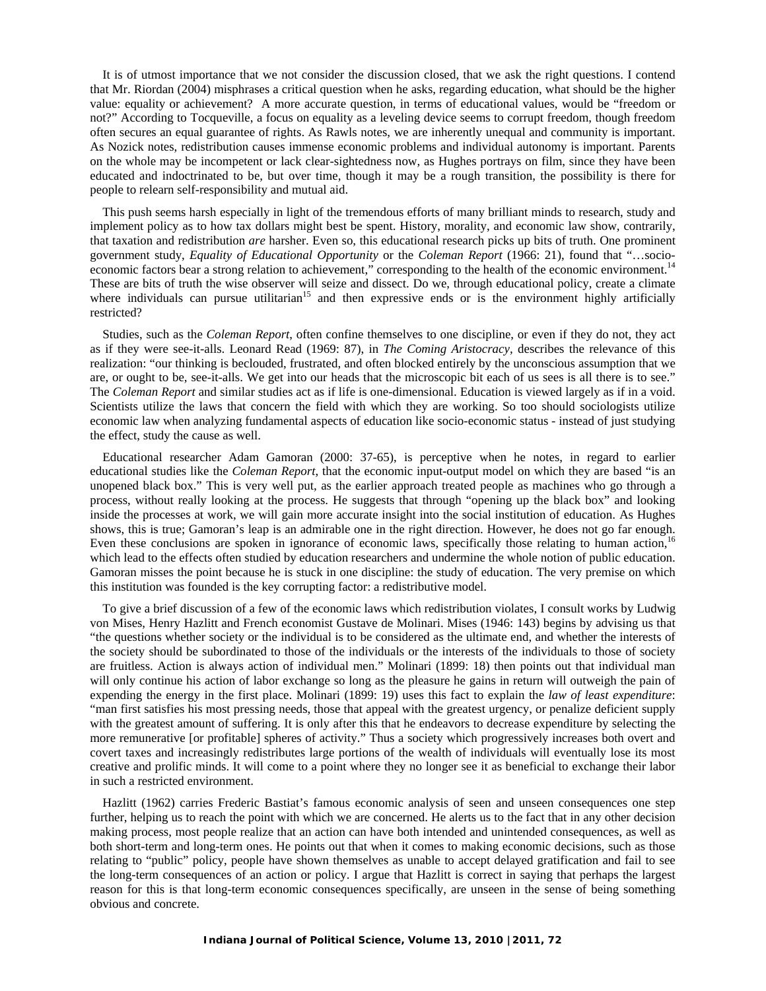It is of utmost importance that we not consider the discussion closed, that we ask the right questions. I contend that Mr. Riordan (2004) misphrases a critical question when he asks, regarding education, what should be the higher value: equality or achievement? A more accurate question, in terms of educational values, would be "freedom or not?" According to Tocqueville, a focus on equality as a leveling device seems to corrupt freedom, though freedom often secures an equal guarantee of rights. As Rawls notes, we are inherently unequal and community is important. As Nozick notes, redistribution causes immense economic problems and individual autonomy is important. Parents on the whole may be incompetent or lack clear-sightedness now, as Hughes portrays on film, since they have been educated and indoctrinated to be, but over time, though it may be a rough transition, the possibility is there for people to relearn self-responsibility and mutual aid.

 This push seems harsh especially in light of the tremendous efforts of many brilliant minds to research, study and implement policy as to how tax dollars might best be spent. History, morality, and economic law show, contrarily, that taxation and redistribution *are* harsher. Even so, this educational research picks up bits of truth. One prominent government study, *Equality of Educational Opportunity* or the *Coleman Report* (1966: 21), found that "…socioeconomic factors bear a strong relation to achievement," corresponding to the health of the economic environment.<sup>14</sup> These are bits of truth the wise observer will seize and dissect. Do we, through educational policy, create a climate where individuals can pursue utilitarian<sup>15</sup> and then expressive ends or is the environment highly artificially restricted?

 Studies, such as the *Coleman Report*, often confine themselves to one discipline, or even if they do not, they act as if they were see-it-alls. Leonard Read (1969: 87), in *The Coming Aristocracy,* describes the relevance of this realization: "our thinking is beclouded, frustrated, and often blocked entirely by the unconscious assumption that we are, or ought to be, see-it-alls. We get into our heads that the microscopic bit each of us sees is all there is to see." The *Coleman Report* and similar studies act as if life is one-dimensional. Education is viewed largely as if in a void. Scientists utilize the laws that concern the field with which they are working. So too should sociologists utilize economic law when analyzing fundamental aspects of education like socio-economic status - instead of just studying the effect, study the cause as well.

 Educational researcher Adam Gamoran (2000: 37-65), is perceptive when he notes, in regard to earlier educational studies like the *Coleman Report*, that the economic input-output model on which they are based "is an unopened black box." This is very well put, as the earlier approach treated people as machines who go through a process, without really looking at the process. He suggests that through "opening up the black box" and looking inside the processes at work, we will gain more accurate insight into the social institution of education. As Hughes shows, this is true; Gamoran's leap is an admirable one in the right direction. However, he does not go far enough. Even these conclusions are spoken in ignorance of economic laws, specifically those relating to human action,<sup>16</sup> which lead to the effects often studied by education researchers and undermine the whole notion of public education. Gamoran misses the point because he is stuck in one discipline: the study of education. The very premise on which this institution was founded is the key corrupting factor: a redistributive model.

 To give a brief discussion of a few of the economic laws which redistribution violates, I consult works by Ludwig von Mises, Henry Hazlitt and French economist Gustave de Molinari. Mises (1946: 143) begins by advising us that "the questions whether society or the individual is to be considered as the ultimate end, and whether the interests of the society should be subordinated to those of the individuals or the interests of the individuals to those of society are fruitless. Action is always action of individual men." Molinari (1899: 18) then points out that individual man will only continue his action of labor exchange so long as the pleasure he gains in return will outweigh the pain of expending the energy in the first place. Molinari (1899: 19) uses this fact to explain the *law of least expenditure*: "man first satisfies his most pressing needs, those that appeal with the greatest urgency, or penalize deficient supply with the greatest amount of suffering. It is only after this that he endeavors to decrease expenditure by selecting the more remunerative [or profitable] spheres of activity." Thus a society which progressively increases both overt and covert taxes and increasingly redistributes large portions of the wealth of individuals will eventually lose its most creative and prolific minds. It will come to a point where they no longer see it as beneficial to exchange their labor in such a restricted environment.

 Hazlitt (1962) carries Frederic Bastiat's famous economic analysis of seen and unseen consequences one step further, helping us to reach the point with which we are concerned. He alerts us to the fact that in any other decision making process, most people realize that an action can have both intended and unintended consequences, as well as both short-term and long-term ones. He points out that when it comes to making economic decisions, such as those relating to "public" policy, people have shown themselves as unable to accept delayed gratification and fail to see the long-term consequences of an action or policy. I argue that Hazlitt is correct in saying that perhaps the largest reason for this is that long-term economic consequences specifically, are unseen in the sense of being something obvious and concrete.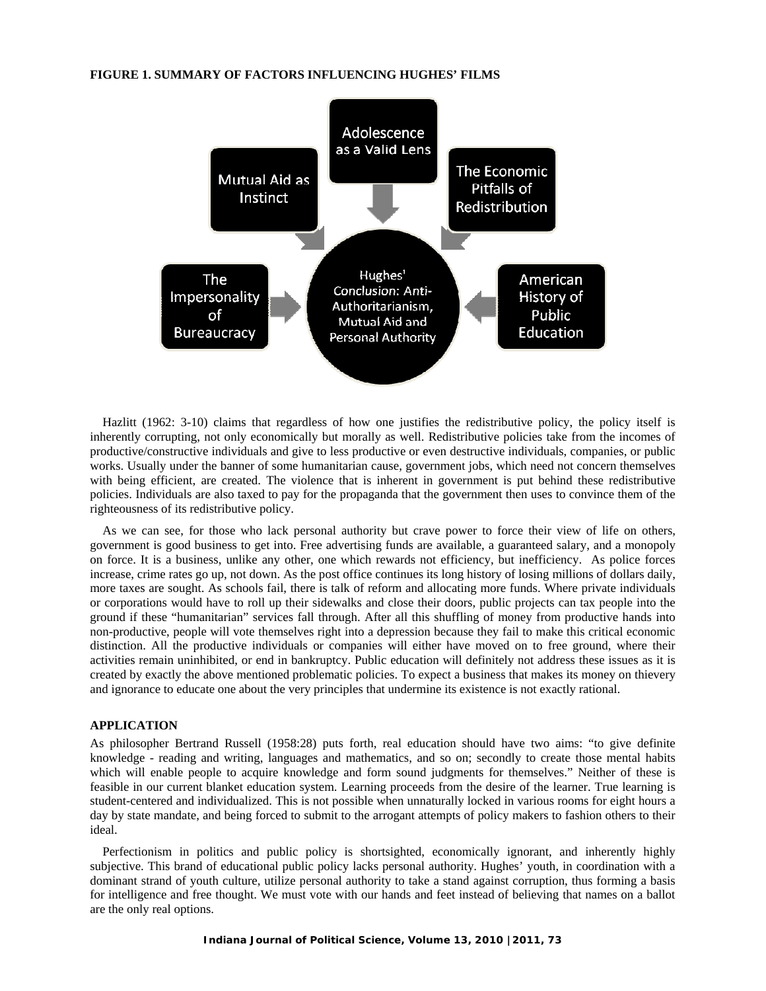#### **FIGURE 1. SUMMARY OF FACTORS INFLUENCING HUGHES' FILMS**



 Hazlitt (1962: 3-10) claims that regardless of how one justifies the redistributive policy, the policy itself is inherently corrupting, not only economically but morally as well. Redistributive policies take from the incomes of productive/constructive individuals and give to less productive or even destructive individuals, companies, or public works. Usually under the banner of some humanitarian cause, government jobs, which need not concern themselves with being efficient, are created. The violence that is inherent in government is put behind these redistributive policies. Individuals are also taxed to pay for the propaganda that the government then uses to convince them of the righteousness of its redistributive policy.

 As we can see, for those who lack personal authority but crave power to force their view of life on others, government is good business to get into. Free advertising funds are available, a guaranteed salary, and a monopoly on force. It is a business, unlike any other, one which rewards not efficiency, but inefficiency. As police forces increase, crime rates go up, not down. As the post office continues its long history of losing millions of dollars daily, more taxes are sought. As schools fail, there is talk of reform and allocating more funds. Where private individuals or corporations would have to roll up their sidewalks and close their doors, public projects can tax people into the ground if these "humanitarian" services fall through. After all this shuffling of money from productive hands into non-productive, people will vote themselves right into a depression because they fail to make this critical economic distinction. All the productive individuals or companies will either have moved on to free ground, where their activities remain uninhibited, or end in bankruptcy. Public education will definitely not address these issues as it is created by exactly the above mentioned problematic policies. To expect a business that makes its money on thievery and ignorance to educate one about the very principles that undermine its existence is not exactly rational.

#### **APPLICATION**

As philosopher Bertrand Russell (1958:28) puts forth, real education should have two aims: "to give definite knowledge - reading and writing, languages and mathematics, and so on; secondly to create those mental habits which will enable people to acquire knowledge and form sound judgments for themselves." Neither of these is feasible in our current blanket education system. Learning proceeds from the desire of the learner. True learning is student-centered and individualized. This is not possible when unnaturally locked in various rooms for eight hours a day by state mandate, and being forced to submit to the arrogant attempts of policy makers to fashion others to their ideal.

 Perfectionism in politics and public policy is shortsighted, economically ignorant, and inherently highly subjective. This brand of educational public policy lacks personal authority. Hughes' youth, in coordination with a dominant strand of youth culture, utilize personal authority to take a stand against corruption, thus forming a basis for intelligence and free thought. We must vote with our hands and feet instead of believing that names on a ballot are the only real options.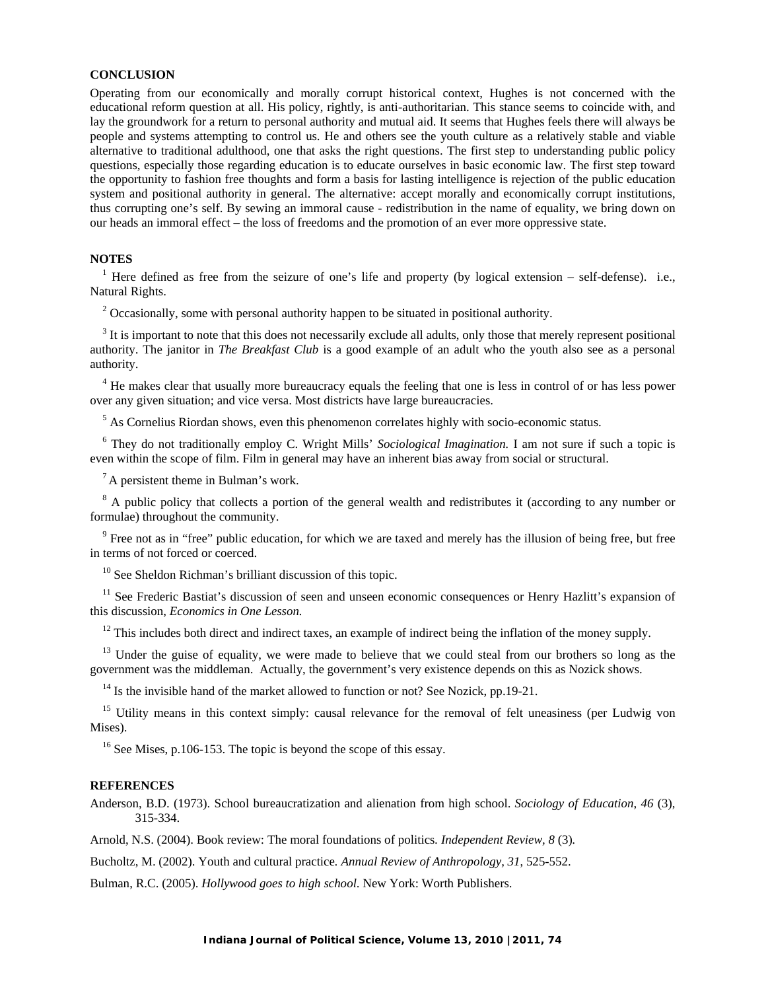#### **CONCLUSION**

Operating from our economically and morally corrupt historical context, Hughes is not concerned with the educational reform question at all. His policy, rightly, is anti-authoritarian. This stance seems to coincide with, and lay the groundwork for a return to personal authority and mutual aid. It seems that Hughes feels there will always be people and systems attempting to control us. He and others see the youth culture as a relatively stable and viable alternative to traditional adulthood, one that asks the right questions. The first step to understanding public policy questions, especially those regarding education is to educate ourselves in basic economic law. The first step toward the opportunity to fashion free thoughts and form a basis for lasting intelligence is rejection of the public education system and positional authority in general. The alternative: accept morally and economically corrupt institutions, thus corrupting one's self. By sewing an immoral cause - redistribution in the name of equality, we bring down on our heads an immoral effect – the loss of freedoms and the promotion of an ever more oppressive state.

#### **NOTES**

<sup>1</sup> Here defined as free from the seizure of one's life and property (by logical extension – self-defense). i.e., Natural Rights.

<sup>2</sup> Occasionally, some with personal authority happen to be situated in positional authority.

<sup>3</sup> It is important to note that this does not necessarily exclude all adults, only those that merely represent positional authority. The janitor in *The Breakfast Club* is a good example of an adult who the youth also see as a personal authority.

<sup>4</sup> He makes clear that usually more bureaucracy equals the feeling that one is less in control of or has less power over any given situation; and vice versa. Most districts have large bureaucracies.

<sup>5</sup> As Cornelius Riordan shows, even this phenomenon correlates highly with socio-economic status.

<sup>6</sup> They do not traditionally employ C. Wright Mills' *Sociological Imagination*. I am not sure if such a topic is even within the scope of film. Film in general may have an inherent bias away from social or structural.

 ${}^{7}$  A persistent theme in Bulman's work.

<sup>8</sup> A public policy that collects a portion of the general wealth and redistributes it (according to any number or formulae) throughout the community.

<sup>9</sup> Free not as in "free" public education, for which we are taxed and merely has the illusion of being free, but free in terms of not forced or coerced.

<sup>10</sup> See Sheldon Richman's brilliant discussion of this topic.

<sup>11</sup> See Frederic Bastiat's discussion of seen and unseen economic consequences or Henry Hazlitt's expansion of this discussion, *Economics in One Lesson.* 

 $12$  This includes both direct and indirect taxes, an example of indirect being the inflation of the money supply.

<sup>13</sup> Under the guise of equality, we were made to believe that we could steal from our brothers so long as the government was the middleman. Actually, the government's very existence depends on this as Nozick shows.

 $14$  Is the invisible hand of the market allowed to function or not? See Nozick, pp.19-21.

<sup>15</sup> Utility means in this context simply: causal relevance for the removal of felt uneasiness (per Ludwig von Mises).

 $16$  See Mises, p.106-153. The topic is beyond the scope of this essay.

#### **REFERENCES**

Anderson, B.D. (1973). School bureaucratization and alienation from high school. *Sociology of Education*, *46* (3), 315-334.

Arnold, N.S. (2004). Book review: The moral foundations of politics*. Independent Review, 8* (3)*.*

Bucholtz, M. (2002). Youth and cultural practice*. Annual Review of Anthropology, 31*, 525-552.

Bulman, R.C. (2005). *Hollywood goes to high school*. New York: Worth Publishers.